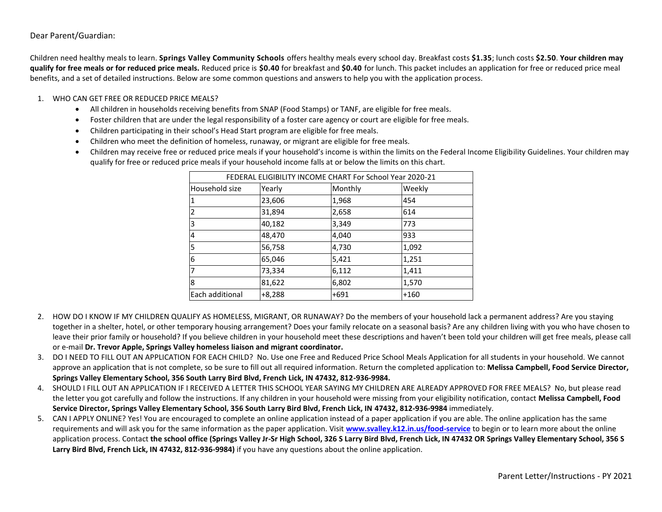### Dear Parent/Guardian:

Children need healthy meals to learn. **Springs Valley Community Schools** offers healthy meals every school day. Breakfast costs **\$1.35**; lunch costs **\$2.50**. **Your children may qualify for free meals or for reduced price meals.** Reduced price is **\$0.40** for breakfast and **\$0.40** for lunch. This packet includes an application for free or reduced price meal benefits, and a set of detailed instructions. Below are some common questions and answers to help you with the application process.

#### 1. WHO CAN GET FREE OR REDUCED PRICE MEALS?

- All children in households receiving benefits from SNAP (Food Stamps) or TANF, are eligible for free meals.
- Foster children that are under the legal responsibility of a foster care agency or court are eligible for free meals.
- Children participating in their school's Head Start program are eligible for free meals.
- Children who meet the definition of homeless, runaway, or migrant are eligible for free meals.
- Children may receive free or reduced price meals if your household's income is within the limits on the Federal Income Eligibility Guidelines. Your children may qualify for free or reduced price meals if your household income falls at or below the limits on this chart.

| FEDERAL ELIGIBILITY INCOME CHART For School Year 2020-21 |          |         |        |  |
|----------------------------------------------------------|----------|---------|--------|--|
| lHousehold size                                          | Yearly   | Monthly | Weekly |  |
| $\overline{1}$                                           | 23,606   | 1,968   | 454    |  |
| $\overline{2}$                                           | 31,894   | 2,658   | 614    |  |
| 3                                                        | 40,182   | 3,349   | 773    |  |
| $\overline{4}$                                           | 48,470   | 4,040   | 933    |  |
| 5                                                        | 56,758   | 4,730   | 1,092  |  |
| 6                                                        | 65,046   | 5,421   | 1,251  |  |
| 7                                                        | 73,334   | 6,112   | 1,411  |  |
| 8                                                        | 81,622   | 6,802   | 1,570  |  |
| Each additional                                          | $+8,288$ | $+691$  | $+160$ |  |

- 2. HOW DO I KNOW IF MY CHILDREN QUALIFY AS HOMELESS, MIGRANT, OR RUNAWAY? Do the members of your household lack a permanent address? Are you staying together in a shelter, hotel, or other temporary housing arrangement? Does your family relocate on a seasonal basis? Are any children living with you who have chosen to leave their prior family or household? If you believe children in your household meet these descriptions and haven't been told your children will get free meals, please call or e-mail **Dr. Trevor Apple, Springs Valley homeless liaison and migrant coordinator.**
- 3. DO I NEED TO FILL OUT AN APPLICATION FOR EACH CHILD? No. Use one Free and Reduced Price School Meals Application for all students in your household. We cannot approve an application that is not complete, so be sure to fill out all required information. Return the completed application to: **Melissa Campbell, Food Service Director, Springs Valley Elementary School, 356 South Larry Bird Blvd, French Lick, IN 47432, 812-936-9984.**
- 4. SHOULD I FILL OUT AN APPLICATION IF I RECEIVED A LETTER THIS SCHOOL YEAR SAYING MY CHILDREN ARE ALREADY APPROVED FOR FREE MEALS? No, but please read the letter you got carefully and follow the instructions. If any children in your household were missing from your eligibility notification, contact **Melissa Campbell, Food Service Director, Springs Valley Elementary School, 356 South Larry Bird Blvd, French Lick, IN 47432, 812-936-9984** immediately.
- 5. CAN I APPLY ONLINE? Yes! You are encouraged to complete an online application instead of a paper application if you are able. The online application has the same requirements and will ask you for the same information as the paper application. Visit **[www.svalley.k12.in.us/food-service](http://www.svalley.k12.in.us/food-service)** to begin or to learn more about the online application process. Contact the school office (Springs Valley Jr-Sr High School, 326 S Larry Bird Blvd, French Lick, IN 47432 OR Springs Valley Elementary School, 356 S **Larry Bird Blvd, French Lick, IN 47432, 812-936-9984)** if you have any questions about the online application.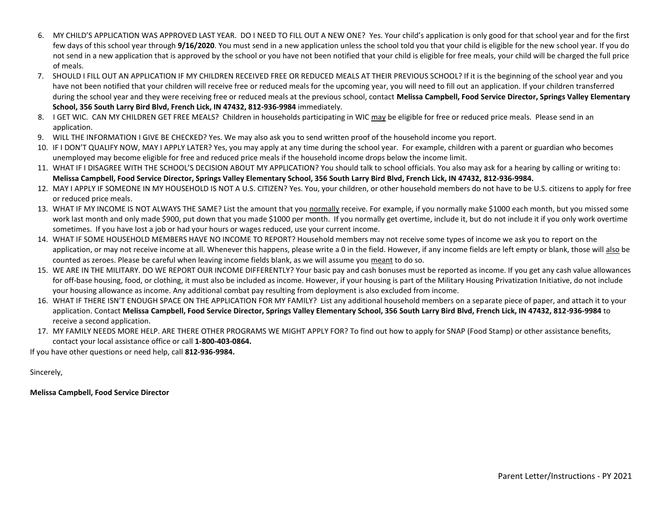- 6. MY CHILD'S APPLICATION WAS APPROVED LAST YEAR. DO I NEED TO FILL OUT A NEW ONE? Yes. Your child's application is only good for that school year and for the first few days of this school year through **9/16/2020**. You must send in a new application unless the school told you that your child is eligible for the new school year. If you do not send in a new application that is approved by the school or you have not been notified that your child is eligible for free meals, your child will be charged the full price of meals.
- 7. SHOULD I FILL OUT AN APPLICATION IF MY CHILDREN RECEIVED FREE OR REDUCED MEALS AT THEIR PREVIOUS SCHOOL? If it is the beginning of the school year and you have not been notified that your children will receive free or reduced meals for the upcoming year, you will need to fill out an application. If your children transferred during the school year and they were receiving free or reduced meals at the previous school, contact **Melissa Campbell, Food Service Director, Springs Valley Elementary School, 356 South Larry Bird Blvd, French Lick, IN 47432, 812-936-9984** immediately.
- 8. I GET WIC. CAN MY CHILDREN GET FREE MEALS? Children in households participating in WIC may be eligible for free or reduced price meals. Please send in an application.
- 9. WILL THE INFORMATION I GIVE BE CHECKED? Yes. We may also ask you to send written proof of the household income you report.
- 10. IF I DON'T QUALIFY NOW, MAY I APPLY LATER? Yes, you may apply at any time during the school year. For example, children with a parent or guardian who becomes unemployed may become eligible for free and reduced price meals if the household income drops below the income limit.
- 11. WHAT IF I DISAGREE WITH THE SCHOOL'S DECISION ABOUT MY APPLICATION? You should talk to school officials. You also may ask for a hearing by calling or writing to: **Melissa Campbell, Food Service Director, Springs Valley Elementary School, 356 South Larry Bird Blvd, French Lick, IN 47432, 812-936-9984.**
- 12. MAY I APPLY IF SOMEONE IN MY HOUSEHOLD IS NOT A U.S. CITIZEN? Yes. You, your children, or other household members do not have to be U.S. citizens to apply for free or reduced price meals.
- 13. WHAT IF MY INCOME IS NOT ALWAYS THE SAME? List the amount that you normally receive. For example, if you normally make \$1000 each month, but you missed some work last month and only made \$900, put down that you made \$1000 per month. If you normally get overtime, include it, but do not include it if you only work overtime sometimes. If you have lost a job or had your hours or wages reduced, use your current income.
- 14. WHAT IF SOME HOUSEHOLD MEMBERS HAVE NO INCOME TO REPORT? Household members may not receive some types of income we ask you to report on the application, or may not receive income at all. Whenever this happens, please write a 0 in the field. However, if any income fields are left empty or blank, those will also be counted as zeroes. Please be careful when leaving income fields blank, as we will assume you meant to do so.
- 15. WE ARE IN THE MILITARY. DO WE REPORT OUR INCOME DIFFERENTLY? Your basic pay and cash bonuses must be reported as income. If you get any cash value allowances for off-base housing, food, or clothing, it must also be included as income. However, if your housing is part of the Military Housing Privatization Initiative, do not include your housing allowance as income. Any additional combat pay resulting from deployment is also excluded from income.
- 16. WHAT IF THERE ISN'T ENOUGH SPACE ON THE APPLICATION FOR MY FAMILY? List any additional household members on a separate piece of paper, and attach it to your application. Contact **Melissa Campbell, Food Service Director, Springs Valley Elementary School, 356 South Larry Bird Blvd, French Lick, IN 47432, 812-936-9984** to receive a second application.
- 17. MY FAMILY NEEDS MORE HELP. ARE THERE OTHER PROGRAMS WE MIGHT APPLY FOR? To find out how to apply for SNAP (Food Stamp) or other assistance benefits, contact your local assistance office or call **1-800-403-0864.**

If you have other questions or need help, call **812-936-9984.**

Sincerely,

**Melissa Campbell, Food Service Director**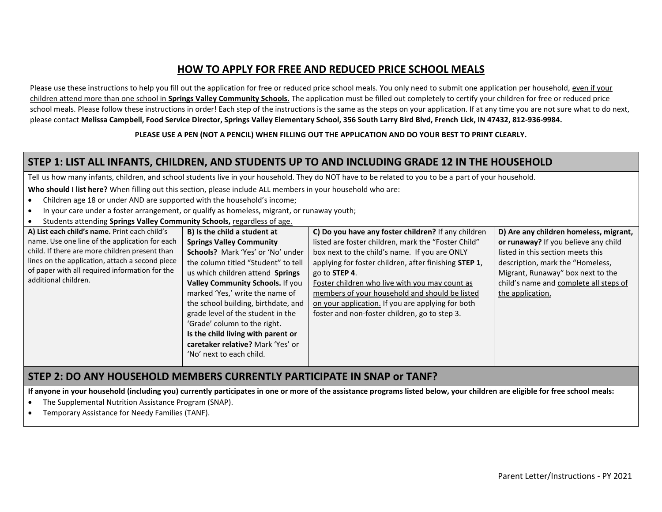# **HOW TO APPLY FOR FREE AND REDUCED PRICE SCHOOL MEALS**

Please use these instructions to help you fill out the application for free or reduced price school meals. You only need to submit one application per household, even if your children attend more than one school in **Springs Valley Community Schools.** The application must be filled out completely to certify your children for free or reduced price school meals. Please follow these instructions in order! Each step of the instructions is the same as the steps on your application. If at any time you are not sure what to do next, please contact **Melissa Campbell, Food Service Director, Springs Valley Elementary School, 356 South Larry Bird Blvd, French Lick, IN 47432, 812-936-9984.**

#### **PLEASE USE A PEN (NOT A PENCIL) WHEN FILLING OUT THE APPLICATION AND DO YOUR BEST TO PRINT CLEARLY.**

## **STEP 1: LIST ALL INFANTS, CHILDREN, AND STUDENTS UP TO AND INCLUDING GRADE 12 IN THE HOUSEHOLD**

Tell us how many infants, children, and school students live in your household. They do NOT have to be related to you to be a part of your household.

**Who should I list here?** When filling out this section, please include ALL members in your household who are:

- Children age 18 or under AND are supported with the household's income;
- In your care under a foster arrangement, or qualify as homeless, migrant, or runaway youth;
- Students attending **Springs Valley Community Schools,** regardless of age.

| B) Is the child a student at        | C) Do you have any foster children? If any children   | D) Are any children homeless, migrant, |
|-------------------------------------|-------------------------------------------------------|----------------------------------------|
| <b>Springs Valley Community</b>     | listed are foster children, mark the "Foster Child"   | or runaway? If you believe any child   |
| Schools? Mark 'Yes' or 'No' under   | box next to the child's name. If you are ONLY         | listed in this section meets this      |
| the column titled "Student" to tell | applying for foster children, after finishing STEP 1, | description, mark the "Homeless,       |
| us which children attend Springs    | go to STEP 4.                                         | Migrant, Runaway" box next to the      |
| Valley Community Schools. If you    | Foster children who live with you may count as        | child's name and complete all steps of |
| marked 'Yes,' write the name of     | members of your household and should be listed        | the application.                       |
| the school building, birthdate, and | on your application. If you are applying for both     |                                        |
| grade level of the student in the   | foster and non-foster children, go to step 3.         |                                        |
| 'Grade' column to the right.        |                                                       |                                        |
| Is the child living with parent or  |                                                       |                                        |
| caretaker relative? Mark 'Yes' or   |                                                       |                                        |
| 'No' next to each child.            |                                                       |                                        |
|                                     |                                                       |                                        |

### **STEP 2: DO ANY HOUSEHOLD MEMBERS CURRENTLY PARTICIPATE IN SNAP or TANF?**

**If anyone in your household (including you) currently participates in one or more of the assistance programs listed below, your children are eligible for free school meals:**

- The Supplemental Nutrition Assistance Program (SNAP).
- Temporary Assistance for Needy Families (TANF).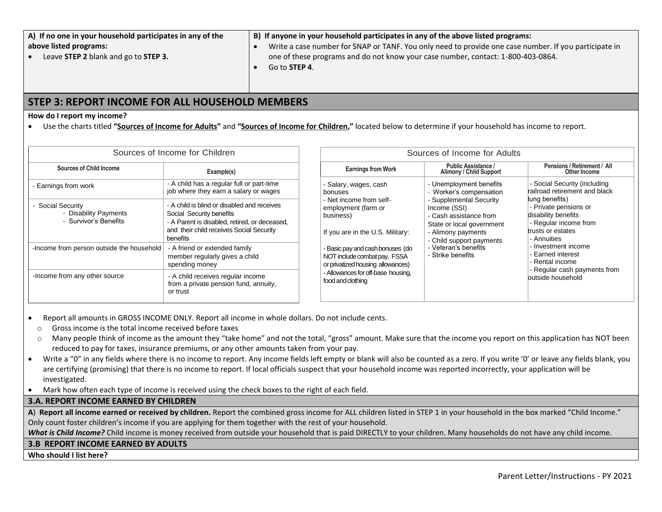| A) If no one in your household participates in any of the | B) If anyone in your household participates in any of the above listed programs:                      |
|-----------------------------------------------------------|-------------------------------------------------------------------------------------------------------|
| above listed programs:                                    | Write a case number for SNAP or TANF. You only need to provide one case number. If you participate in |
| Leave STEP 2 blank and go to STEP 3.                      | one of these programs and do not know your case number, contact: 1-800-403-0864.                      |

Go to **STEP 4**.

## **STEP 3: REPORT INCOME FOR ALL HOUSEHOLD MEMBERS**

#### **How do I report my income?**

Use the charts titled **"Sources of Income for Adults"** and **"Sources of Income for Children,"** located below to determine if your household has income to report.

| Sources of Income for Children                                           |                                                                                                                                                                                  | Sources of Income for Adults                                                                                                                                                                                                                                                                            |                                                                                                                                                                                                                                                     |                                                                                                                                                                                                                                                 |
|--------------------------------------------------------------------------|----------------------------------------------------------------------------------------------------------------------------------------------------------------------------------|---------------------------------------------------------------------------------------------------------------------------------------------------------------------------------------------------------------------------------------------------------------------------------------------------------|-----------------------------------------------------------------------------------------------------------------------------------------------------------------------------------------------------------------------------------------------------|-------------------------------------------------------------------------------------------------------------------------------------------------------------------------------------------------------------------------------------------------|
| <b>Sources of Child Income</b>                                           | Example(s)                                                                                                                                                                       | <b>Earnings from Work</b>                                                                                                                                                                                                                                                                               | <b>Public Assistance /</b><br>Alimony / Child Support                                                                                                                                                                                               | Pensions / Retirement / All<br>Other Income                                                                                                                                                                                                     |
| Earnings from work                                                       | - A child has a regular full or part-time<br>job where they earn a salary or wages                                                                                               | - Salary, wages, cash<br>bonuses<br>- Net income from self-<br>employment (farm or<br>business)<br>If you are in the U.S. Military:<br>- Basic pay and cash bonuses (do<br>NOT include combat pay, FSSA<br>or privatized housing allowances)<br>- Allowances for off-base housing,<br>food and clothing | - Unemployment benefits<br>- Worker's compensation<br>- Supplemental Security<br>Income (SSI)<br>- Cash assistance from<br>State or local government<br>- Alimony payments<br>- Child support payments<br>- Veteran's benefits<br>- Strike benefits | - Social Security (including<br>railroad retirement and black                                                                                                                                                                                   |
| <b>Social Security</b><br>- Disability Payments<br>- Survivor's Benefits | - A child is blind or disabled and receives<br>Social Security benefits<br>- A Parent is disabled, retired, or deceased,<br>and their child receives Social Security<br>benefits |                                                                                                                                                                                                                                                                                                         |                                                                                                                                                                                                                                                     | lung benefits)<br>- Private pensions or<br>disability benefits<br>- Regular income from<br>trusts or estates<br>- Annuities<br>- Investment income<br>- Earned interest<br>- Rental income<br>- Regular cash payments from<br>outside household |
| -Income from person outside the household                                | - A friend or extended family<br>member regularly gives a child<br>spending money                                                                                                |                                                                                                                                                                                                                                                                                                         |                                                                                                                                                                                                                                                     |                                                                                                                                                                                                                                                 |
| -Income from any other source                                            | - A child receives regular income<br>from a private pension fund, annuity,<br>or trust                                                                                           |                                                                                                                                                                                                                                                                                                         |                                                                                                                                                                                                                                                     |                                                                                                                                                                                                                                                 |

- Report all amounts in GROSS INCOME ONLY. Report all income in whole dollars. Do not include cents.
- o Gross income is the total income received before taxes
- o Many people think of income as the amount they "take home" and not the total, "gross" amount. Make sure that the income you report on this application has NOT been reduced to pay for taxes, insurance premiums, or any other amounts taken from your pay.
- Write a "0" in any fields where there is no income to report. Any income fields left empty or blank will also be counted as a zero. If you write '0' or leave any fields blank, you are certifying (promising) that there is no income to report. If local officials suspect that your household income was reported incorrectly, your application will be investigated.
- Mark how often each type of income is received using the check boxes to the right of each field.

### **3.A. REPORT INCOME EARNED BY CHILDREN**

**A**) **Report all income earned or received by children.** Report the combined gross income for ALL children listed in STEP 1 in your household in the box marked "Child Income." Only count foster children's income if you are applying for them together with the rest of your household.

What is Child Income? Child income is money received from outside your household that is paid DIRECTLY to your children. Many households do not have any child income.

#### **3.B REPORT INCOME EARNED BY ADULTS**

**Who should I list here?**